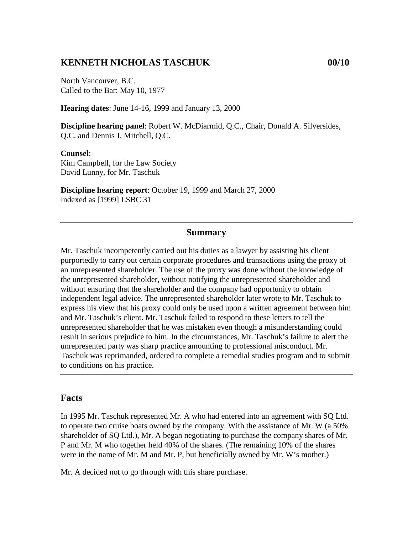### **KENNETH NICHOLAS TASCHUK 00/10**

North Vancouver, B.C. Called to the Bar: May 10, 1977

**Hearing dates**: June 14-16, 1999 and January 13, 2000

**Discipline hearing panel**: Robert W. McDiarmid, Q.C., Chair, Donald A. Silversides, Q.C. and Dennis J. Mitchell, Q.C.

#### **Counsel**:

Kim Campbell, for the Law Society David Lunny, for Mr. Taschuk

**Discipline hearing report**: October 19, 1999 and March 27, 2000 Indexed as [1999] LSBC 31

### **Summary**

Mr. Taschuk incompetently carried out his duties as a lawyer by assisting his client purportedly to carry out certain corporate procedures and transactions using the proxy of an unrepresented shareholder. The use of the proxy was done without the knowledge of the unrepresented shareholder, without notifying the unrepresented shareholder and without ensuring that the shareholder and the company had opportunity to obtain independent legal advice. The unrepresented shareholder later wrote to Mr. Taschuk to express his view that his proxy could only be used upon a written agreement between him and Mr. Taschuk's client. Mr. Taschuk failed to respond to these letters to tell the unrepresented shareholder that he was mistaken even though a misunderstanding could result in serious prejudice to him. In the circumstances, Mr. Taschuk's failure to alert the unrepresented party was sharp practice amounting to professional misconduct. Mr. Taschuk was reprimanded, ordered to complete a remedial studies program and to submit to conditions on his practice.

### **Facts**

In 1995 Mr. Taschuk represented Mr. A who had entered into an agreement with SQ Ltd. to operate two cruise boats owned by the company. With the assistance of Mr. W (a 50% shareholder of SQ Ltd.), Mr. A began negotiating to purchase the company shares of Mr. P and Mr. M who together held 40% of the shares. (The remaining 10% of the shares were in the name of Mr. M and Mr. P, but beneficially owned by Mr. W's mother.)

Mr. A decided not to go through with this share purchase.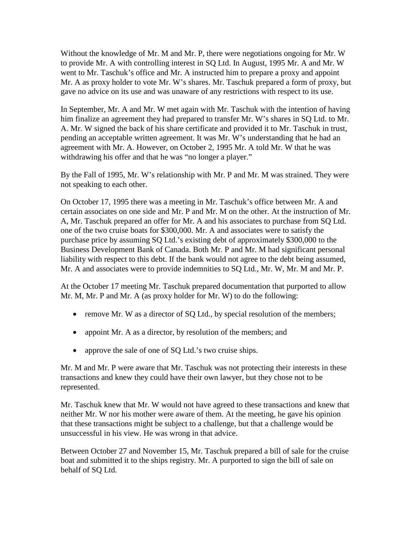Without the knowledge of Mr. M and Mr. P, there were negotiations ongoing for Mr. W to provide Mr. A with controlling interest in SQ Ltd. In August, 1995 Mr. A and Mr. W went to Mr. Taschuk's office and Mr. A instructed him to prepare a proxy and appoint Mr. A as proxy holder to vote Mr. W's shares. Mr. Taschuk prepared a form of proxy, but gave no advice on its use and was unaware of any restrictions with respect to its use.

In September, Mr. A and Mr. W met again with Mr. Taschuk with the intention of having him finalize an agreement they had prepared to transfer Mr. W's shares in SQ Ltd. to Mr. A. Mr. W signed the back of his share certificate and provided it to Mr. Taschuk in trust, pending an acceptable written agreement. It was Mr. W's understanding that he had an agreement with Mr. A. However, on October 2, 1995 Mr. A told Mr. W that he was withdrawing his offer and that he was "no longer a player."

By the Fall of 1995, Mr. W's relationship with Mr. P and Mr. M was strained. They were not speaking to each other.

On October 17, 1995 there was a meeting in Mr. Taschuk's office between Mr. A and certain associates on one side and Mr. P and Mr. M on the other. At the instruction of Mr. A, Mr. Taschuk prepared an offer for Mr. A and his associates to purchase from SQ Ltd. one of the two cruise boats for \$300,000. Mr. A and associates were to satisfy the purchase price by assuming SQ Ltd.'s existing debt of approximately \$300,000 to the Business Development Bank of Canada. Both Mr. P and Mr. M had significant personal liability with respect to this debt. If the bank would not agree to the debt being assumed, Mr. A and associates were to provide indemnities to SQ Ltd., Mr. W, Mr. M and Mr. P.

At the October 17 meeting Mr. Taschuk prepared documentation that purported to allow Mr. M, Mr. P and Mr. A (as proxy holder for Mr. W) to do the following:

- remove Mr. W as a director of SQ Ltd., by special resolution of the members;
- appoint Mr. A as a director, by resolution of the members; and
- approve the sale of one of SQ Ltd.'s two cruise ships.

Mr. M and Mr. P were aware that Mr. Taschuk was not protecting their interests in these transactions and knew they could have their own lawyer, but they chose not to be represented.

Mr. Taschuk knew that Mr. W would not have agreed to these transactions and knew that neither Mr. W nor his mother were aware of them. At the meeting, he gave his opinion that these transactions might be subject to a challenge, but that a challenge would be unsuccessful in his view. He was wrong in that advice.

Between October 27 and November 15, Mr. Taschuk prepared a bill of sale for the cruise boat and submitted it to the ships registry. Mr. A purported to sign the bill of sale on behalf of SQ Ltd.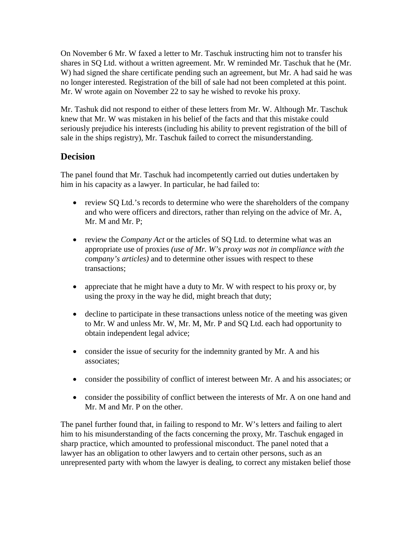On November 6 Mr. W faxed a letter to Mr. Taschuk instructing him not to transfer his shares in SQ Ltd. without a written agreement. Mr. W reminded Mr. Taschuk that he (Mr. W) had signed the share certificate pending such an agreement, but Mr. A had said he was no longer interested. Registration of the bill of sale had not been completed at this point. Mr. W wrote again on November 22 to say he wished to revoke his proxy.

Mr. Tashuk did not respond to either of these letters from Mr. W. Although Mr. Taschuk knew that Mr. W was mistaken in his belief of the facts and that this mistake could seriously prejudice his interests (including his ability to prevent registration of the bill of sale in the ships registry), Mr. Taschuk failed to correct the misunderstanding.

## **Decision**

The panel found that Mr. Taschuk had incompetently carried out duties undertaken by him in his capacity as a lawyer. In particular, he had failed to:

- review SQ Ltd.'s records to determine who were the shareholders of the company and who were officers and directors, rather than relying on the advice of Mr. A, Mr. M and Mr. P;
- review the *Company Act* or the articles of SQ Ltd. to determine what was an appropriate use of proxies *(use of Mr. W's proxy was not in compliance with the company's articles)* and to determine other issues with respect to these transactions;
- appreciate that he might have a duty to Mr. W with respect to his proxy or, by using the proxy in the way he did, might breach that duty;
- decline to participate in these transactions unless notice of the meeting was given to Mr. W and unless Mr. W, Mr. M, Mr. P and SQ Ltd. each had opportunity to obtain independent legal advice;
- consider the issue of security for the indemnity granted by Mr. A and his associates;
- consider the possibility of conflict of interest between Mr. A and his associates; or
- consider the possibility of conflict between the interests of Mr. A on one hand and Mr. M and Mr. P on the other.

The panel further found that, in failing to respond to Mr. W's letters and failing to alert him to his misunderstanding of the facts concerning the proxy, Mr. Taschuk engaged in sharp practice, which amounted to professional misconduct. The panel noted that a lawyer has an obligation to other lawyers and to certain other persons, such as an unrepresented party with whom the lawyer is dealing, to correct any mistaken belief those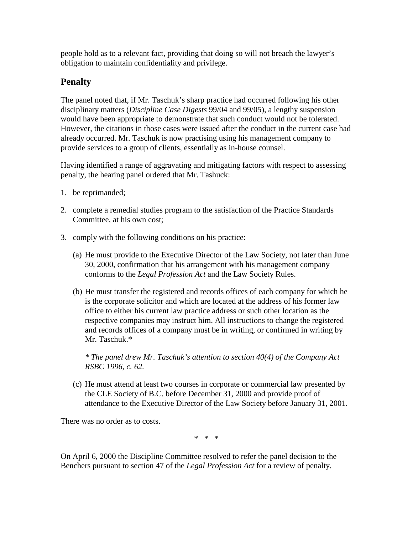people hold as to a relevant fact, providing that doing so will not breach the lawyer's obligation to maintain confidentiality and privilege.

# **Penalty**

The panel noted that, if Mr. Taschuk's sharp practice had occurred following his other disciplinary matters (*Discipline Case Digests* 99/04 and 99/05), a lengthy suspension would have been appropriate to demonstrate that such conduct would not be tolerated. However, the citations in those cases were issued after the conduct in the current case had already occurred. Mr. Taschuk is now practising using his management company to provide services to a group of clients, essentially as in-house counsel.

Having identified a range of aggravating and mitigating factors with respect to assessing penalty, the hearing panel ordered that Mr. Tashuck:

- 1. be reprimanded;
- 2. complete a remedial studies program to the satisfaction of the Practice Standards Committee, at his own cost;
- 3. comply with the following conditions on his practice:
	- (a) He must provide to the Executive Director of the Law Society, not later than June 30, 2000, confirmation that his arrangement with his management company conforms to the *Legal Profession Act* and the Law Society Rules.
	- (b) He must transfer the registered and records offices of each company for which he is the corporate solicitor and which are located at the address of his former law office to either his current law practice address or such other location as the respective companies may instruct him. All instructions to change the registered and records offices of a company must be in writing, or confirmed in writing by Mr. Taschuk.\*

 *\* The panel drew Mr. Taschuk's attention to section 40(4) of the Company Act RSBC 1996, c. 62.*

(c) He must attend at least two courses in corporate or commercial law presented by the CLE Society of B.C. before December 31, 2000 and provide proof of attendance to the Executive Director of the Law Society before January 31, 2001.

There was no order as to costs.

\* \* \*

On April 6, 2000 the Discipline Committee resolved to refer the panel decision to the Benchers pursuant to section 47 of the *Legal Profession Act* for a review of penalty.